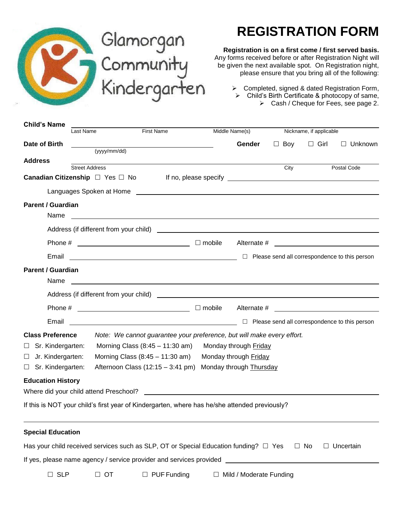

# Glamorgan<br>Community<br>Kindergarten

# **REGISTRATION FORM**

### **Registration is on a first come / first served basis.**

Any forms received before or after Registration Night will be given the next available spot. On Registration night, please ensure that you bring all of the following:

> $\triangleright$  Completed, signed & dated Registration Form,  $\triangleright$  Child's Birth Certificate & photocopy of same, Cash / Cheque for Fees, see page 2.

| <b>Child's Name</b>                    |                       |                   |                                                                                                                                                                                                                                    |                                                                                                                       |                                |            |                         |                  |  |
|----------------------------------------|-----------------------|-------------------|------------------------------------------------------------------------------------------------------------------------------------------------------------------------------------------------------------------------------------|-----------------------------------------------------------------------------------------------------------------------|--------------------------------|------------|-------------------------|------------------|--|
| Last Name                              |                       | <b>First Name</b> |                                                                                                                                                                                                                                    |                                                                                                                       | Middle Name(s)                 |            | Nickname, if applicable |                  |  |
| Date of Birth                          |                       | (yyyy/mm/dd)      |                                                                                                                                                                                                                                    |                                                                                                                       | Gender                         | $\Box$ Boy | $\Box$ Girl             | $\Box$ Unknown   |  |
| <b>Address</b>                         |                       |                   |                                                                                                                                                                                                                                    |                                                                                                                       |                                |            |                         |                  |  |
|                                        | <b>Street Address</b> |                   |                                                                                                                                                                                                                                    |                                                                                                                       |                                | City       |                         | Postal Code      |  |
| Canadian Citizenship □ Yes □ No        |                       |                   |                                                                                                                                                                                                                                    |                                                                                                                       |                                |            |                         |                  |  |
|                                        |                       |                   |                                                                                                                                                                                                                                    |                                                                                                                       |                                |            |                         |                  |  |
| <b>Parent / Guardian</b>               |                       |                   |                                                                                                                                                                                                                                    |                                                                                                                       |                                |            |                         |                  |  |
| Name                                   |                       |                   |                                                                                                                                                                                                                                    |                                                                                                                       |                                |            |                         |                  |  |
|                                        |                       |                   |                                                                                                                                                                                                                                    |                                                                                                                       |                                |            |                         |                  |  |
|                                        |                       |                   |                                                                                                                                                                                                                                    |                                                                                                                       |                                |            |                         |                  |  |
| Email                                  |                       |                   | <u>Dependence</u> of this person all correspondence to this person                                                                                                                                                                 |                                                                                                                       |                                |            |                         |                  |  |
| <b>Parent / Guardian</b>               |                       |                   |                                                                                                                                                                                                                                    |                                                                                                                       |                                |            |                         |                  |  |
| Name                                   |                       |                   | <u> 1989 - Johann Harry Harry Harry Harry Harry Harry Harry Harry Harry Harry Harry Harry Harry Harry Harry Harry</u>                                                                                                              |                                                                                                                       |                                |            |                         |                  |  |
|                                        |                       |                   | Address (if different from your child) <u>example and the control of the control of</u> the control of the control of the control of the control of the control of the control of the control of the control of the control of the |                                                                                                                       |                                |            |                         |                  |  |
|                                        |                       |                   |                                                                                                                                                                                                                                    |                                                                                                                       |                                |            |                         |                  |  |
| Email                                  |                       |                   | <u>Dependence</u> of this person<br><sub>D</sub> D Please send all correspondence to this person                                                                                                                                   |                                                                                                                       |                                |            |                         |                  |  |
| <b>Class Preference</b>                |                       |                   | Note: We cannot guarantee your preference, but will make every effort.                                                                                                                                                             |                                                                                                                       |                                |            |                         |                  |  |
| Sr. Kindergarten:<br>ш                 |                       |                   | Morning Class $(8:45 - 11:30 \text{ am})$                                                                                                                                                                                          |                                                                                                                       | Monday through Friday          |            |                         |                  |  |
| Jr. Kindergarten:<br>$\Box$            |                       |                   | Morning Class $(8:45 - 11:30 \text{ am})$                                                                                                                                                                                          |                                                                                                                       | Monday through Friday          |            |                         |                  |  |
| Sr. Kindergarten:<br>Ш                 |                       |                   | Afternoon Class $(12:15 - 3:41 \text{ pm})$                                                                                                                                                                                        |                                                                                                                       | Monday through Thursday        |            |                         |                  |  |
| <b>Education History</b>               |                       |                   |                                                                                                                                                                                                                                    |                                                                                                                       |                                |            |                         |                  |  |
| Where did your child attend Preschool? |                       |                   |                                                                                                                                                                                                                                    | <u> 1989 - Johann Harry Harry Harry Harry Harry Harry Harry Harry Harry Harry Harry Harry Harry Harry Harry Harry</u> |                                |            |                         |                  |  |
|                                        |                       |                   | If this is NOT your child's first year of Kindergarten, where has he/she attended previously?                                                                                                                                      |                                                                                                                       |                                |            |                         |                  |  |
|                                        |                       |                   |                                                                                                                                                                                                                                    |                                                                                                                       |                                |            |                         |                  |  |
| <b>Special Education</b>               |                       |                   |                                                                                                                                                                                                                                    |                                                                                                                       |                                |            |                         |                  |  |
|                                        |                       |                   | Has your child received services such as SLP, OT or Special Education funding? $\Box$ Yes $\Box$ No                                                                                                                                |                                                                                                                       |                                |            |                         | $\Box$ Uncertain |  |
|                                        |                       |                   | If yes, please name agency / service provider and services provided ________________________________                                                                                                                               |                                                                                                                       |                                |            |                         |                  |  |
| $\Box$ SLP                             |                       | $\Box$ OT         | $\Box$ PUF Funding                                                                                                                                                                                                                 |                                                                                                                       | $\Box$ Mild / Moderate Funding |            |                         |                  |  |